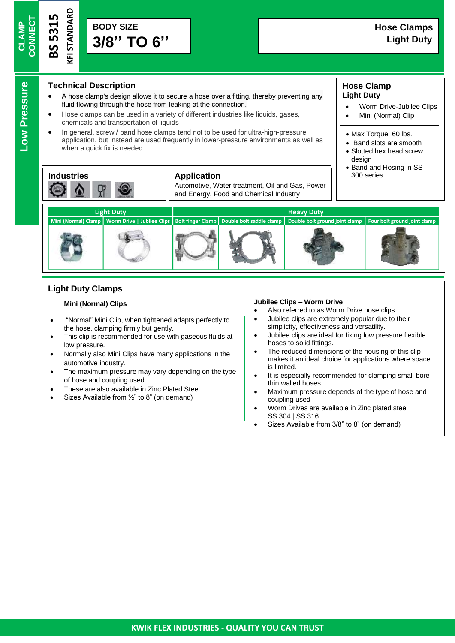**Low Pressure**

Low Pressure

**BS 5315**

**KFI STANDAR D**

# **Technical Description**

- A hose clamp's design allows it to secure a hose over a fitting, thereby preventing any fluid flowing through the hose from leaking at the connection.
- Hose clamps can be used in a variety of different industries like liquids, gases, chemicals and transportation of liquids
- In general, screw / band hose clamps tend not to be used for ultra-high-pressure application, but instead are used frequently in lower-pressure environments as well as when a quick fix is needed.



#### **Application** 1 300 series

Automotive, Water treatment, Oil and Gas, Power and Energy, Food and Chemical Industry

#### **Hose Clamp Light Duty**

- Worm Drive-Jubilee Clips
- Mini (Normal) Clip
- Max Torque: 60 lbs.
- Band slots are smooth • Slotted hex head screw design
- Band and Hosing in SS



# **Light Duty Clamps**

#### **Mini (Normal) Clips**

- "Normal" Mini Clip, when tightened adapts perfectly to the hose, clamping firmly but gently.
- This clip is recommended for use with gaseous fluids at low pressure.
- Normally also Mini Clips have many applications in the automotive industry.
- The maximum pressure may vary depending on the type of hose and coupling used.
- These are also available in Zinc Plated Steel.
- Sizes Available from ½" to 8" (on demand)

#### **Jubilee Clips – Worm Drive**

- Also referred to as Worm Drive hose clips.
- Jubilee clips are extremely popular due to their simplicity, effectiveness and versatility.
- Jubilee clips are ideal for fixing low pressure flexible hoses to solid fittings.
- The reduced dimensions of the housing of this clip makes it an ideal choice for applications where space is limited.
- It is especially recommended for clamping small bore thin walled hoses.
- Maximum pressure depends of the type of hose and coupling used
- Worm Drives are available in Zinc plated steel SS 304 | SS 316
- Sizes Available from 3/8" to 8" (on demand)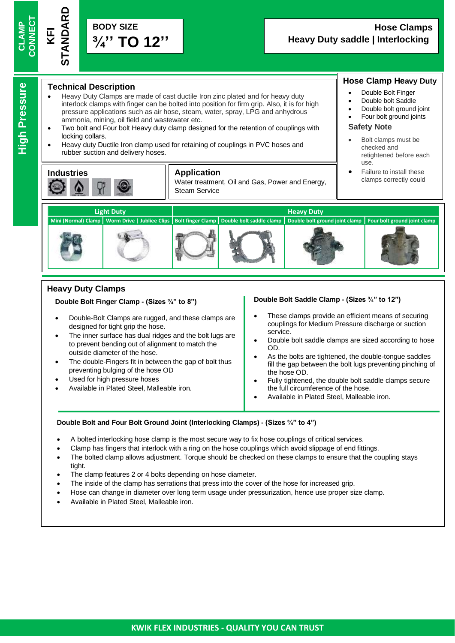**BODY SIZE ¾'' TO 12'' STANDARD**

#### **Technical Description**

- Heavy Duty Clamps are made of cast ductile Iron zinc plated and for heavy duty interlock clamps with finger can be bolted into position for firm grip. Also, it is for high pressure applications such as air hose, steam, water, spray, LPG and anhydrous ammonia, mining, oil field and wastewater etc.
- Two bolt and Four bolt Heavy duty clamp designed for the retention of couplings with locking collars.
- Heavy duty Ductile Iron clamp used for retaining of couplings in PVC hoses and rubber suction and delivery hoses.



#### **Application**

Water treatment, Oil and Gas, Power and Energy, Steam Service

## **Hose Clamp Heavy Duty**

- •Double Bolt Finger
- •Double bolt Saddle
- •Double bolt ground joint
- •Four bolt ground joints

#### **Safety Note**

- • Bolt clamps must be checked and retightened before each use.
- • Failure to install these clamps correctly could



# **Heavy Duty Clamps**

#### • **Double Bolt Finger Clamp - (Sizes ¾" to 8")**

- Double-Bolt Clamps are rugged, and these clamps are designed for tight grip the hose.
- The inner surface has dual ridges and the bolt lugs are to prevent bending out of alignment to match the outside diameter of the hose.
- The double-Fingers fit in between the gap of bolt thus preventing bulging of the hose OD
- Used for high pressure hoses
- Available in Plated Steel, Malleable iron.

#### **Double Bolt Saddle Clamp - (Sizes ¾" to 12")**

- These clamps provide an efficient means of securing couplings for Medium Pressure discharge or suction service.
- Double bolt saddle clamps are sized according to hose OD.
- As the bolts are tightened, the double-tongue saddles fill the gap between the bolt lugs preventing pinching of the hose OD.
- Fully tightened, the double bolt saddle clamps secure the full circumference of the hose.
- Available in Plated Steel, Malleable iron.

#### **Double Bolt and Four Bolt Ground Joint (Interlocking Clamps) - (Sizes ¾" to 4")**

- A bolted interlocking hose clamp is the most secure way to fix hose couplings of critical services.
- Clamp has fingers that interlock with a ring on the hose couplings which avoid slippage of end fittings.
- The bolted clamp allows adjustment. Torque should be checked on these clamps to ensure that the coupling stays tight.
- The clamp features 2 or 4 bolts depending on hose diameter.
- The inside of the clamp has serrations that press into the cover of the hose for increased grip.
- Hose can change in diameter over long term usage under pressurization, hence use proper size clamp.
- Available in Plated Steel, Malleable iron.

**CLAMP CONNECT**

**KFI**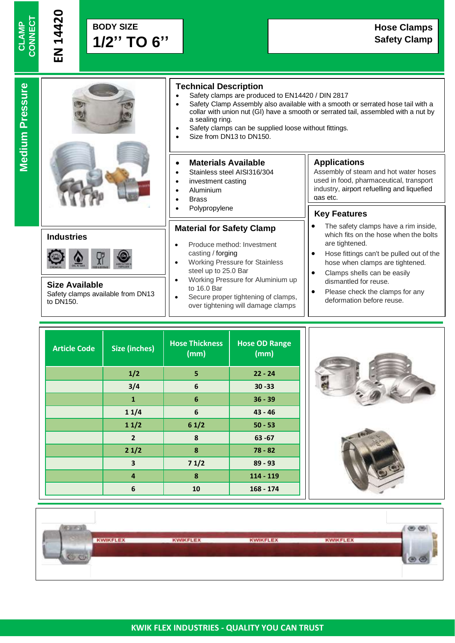**EN 1**

**4420**

# **Medium Pressure Medium Pressure**



# **Industries**



**Size Available** Safety clamps available from DN13 to DN150.

# **Technical Description**

- Safety clamps are produced to EN14420 / DIN 2817
- Safety Clamp Assembly also available with a smooth or serrated hose tail with a collar with union nut (GI) have a smooth or serrated tail, assembled with a nut by a sealing ring.
- Safety clamps can be supplied loose without fittings.
- Size from DN13 to DN150.

#### • **Materials Available**

- Stainless steel AISI316/304
- investment casting
- Aluminium
- **Brass**
- **Polypropylene**

#### **Material for Safety Clamp**

- Produce method: Investment casting / forging
- Working Pressure for Stainless steel up to 25.0 Bar
- Working Pressure for Aluminium up to 16.0 Bar
- Secure proper tightening of clamps, over tightening will damage clamps

# **Applications**

Assembly of steam and hot water hoses used in food, pharmaceutical, transport industry, airport refuelling and liquefied gas etc.

### , **Key Features**

- The safety clamps have a rim inside, which fits on the hose when the bolts are tightened.
- Hose fittings can't be pulled out of the hose when clamps are tightened.
- Clamps shells can be easily dismantled for reuse.
- Please check the clamps for any deformation before reuse.

| <b>Article Code</b> | <b>Size (inches)</b>    | <b>Hose Thickness</b><br>(mm) | <b>Hose OD Range</b><br>(mm) |
|---------------------|-------------------------|-------------------------------|------------------------------|
|                     | 1/2                     | 5                             | $22 - 24$                    |
|                     | 3/4                     | 6                             | $30 - 33$                    |
|                     | 1                       | 6                             | $36 - 39$                    |
|                     | 11/4                    | 6                             | $43 - 46$                    |
|                     | 11/2                    | 61/2                          | $50 - 53$                    |
|                     | $\overline{2}$          | 8                             | $63 - 67$                    |
|                     | 21/2                    | 8                             | $78 - 82$                    |
|                     | $\overline{\mathbf{3}}$ | 71/2                          | $89 - 93$                    |
|                     | $\overline{4}$          | 8                             | $114 - 119$                  |
|                     | 6                       | 10                            | $168 - 174$                  |





| <b>KWIKFLEX</b> | <b>KWIKFLEX</b> | <b>KWIKFLEX</b> | <b>KWIKFLEX</b> |  |
|-----------------|-----------------|-----------------|-----------------|--|
|                 |                 |                 |                 |  |
|                 |                 |                 |                 |  |